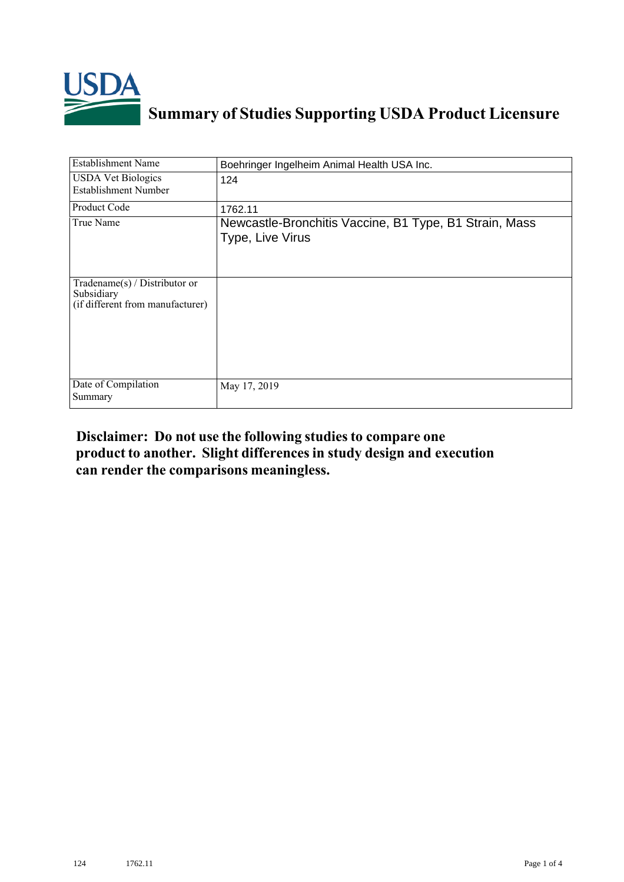

## **Summary of Studies Supporting USDA Product Licensure**

| <b>Establishment Name</b>                                                         | Boehringer Ingelheim Animal Health USA Inc.                                |
|-----------------------------------------------------------------------------------|----------------------------------------------------------------------------|
| <b>USDA Vet Biologics</b><br><b>Establishment Number</b>                          | 124                                                                        |
| Product Code                                                                      | 1762.11                                                                    |
| True Name                                                                         | Newcastle-Bronchitis Vaccine, B1 Type, B1 Strain, Mass<br>Type, Live Virus |
| $Tradename(s) / Distributor$ or<br>Subsidiary<br>(if different from manufacturer) |                                                                            |
| Date of Compilation<br>Summary                                                    | May 17, 2019                                                               |

## **Disclaimer: Do not use the following studiesto compare one product to another. Slight differencesin study design and execution can render the comparisons meaningless.**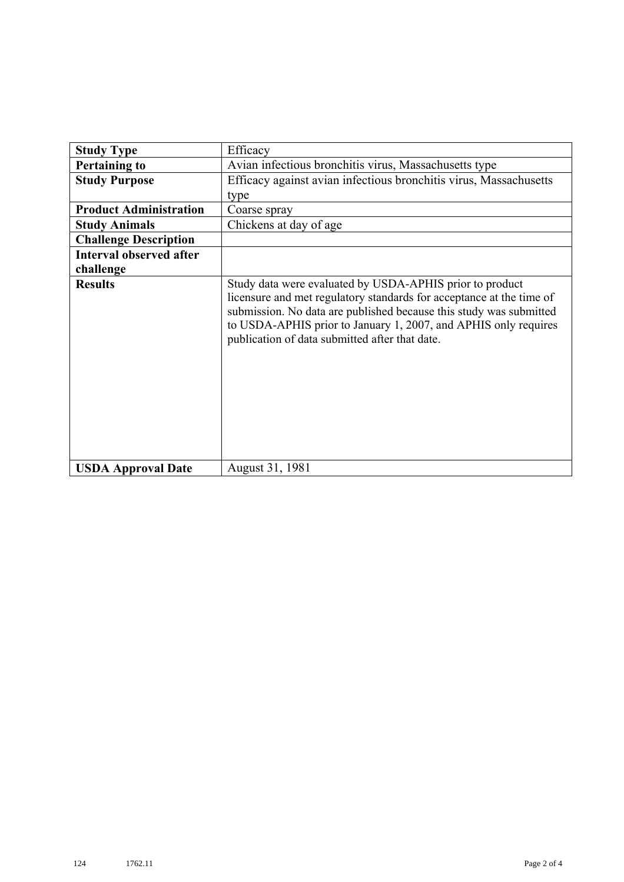| <b>Study Type</b>              | Efficacy                                                                                                                                                                                                                                                                                                                    |
|--------------------------------|-----------------------------------------------------------------------------------------------------------------------------------------------------------------------------------------------------------------------------------------------------------------------------------------------------------------------------|
| <b>Pertaining to</b>           | Avian infectious bronchitis virus, Massachusetts type                                                                                                                                                                                                                                                                       |
| <b>Study Purpose</b>           | Efficacy against avian infectious bronchitis virus, Massachusetts                                                                                                                                                                                                                                                           |
|                                | type                                                                                                                                                                                                                                                                                                                        |
| <b>Product Administration</b>  | Coarse spray                                                                                                                                                                                                                                                                                                                |
| <b>Study Animals</b>           | Chickens at day of age                                                                                                                                                                                                                                                                                                      |
| <b>Challenge Description</b>   |                                                                                                                                                                                                                                                                                                                             |
| <b>Interval observed after</b> |                                                                                                                                                                                                                                                                                                                             |
| challenge                      |                                                                                                                                                                                                                                                                                                                             |
| <b>Results</b>                 | Study data were evaluated by USDA-APHIS prior to product<br>licensure and met regulatory standards for acceptance at the time of<br>submission. No data are published because this study was submitted<br>to USDA-APHIS prior to January 1, 2007, and APHIS only requires<br>publication of data submitted after that date. |
| <b>USDA Approval Date</b>      | August 31, 1981                                                                                                                                                                                                                                                                                                             |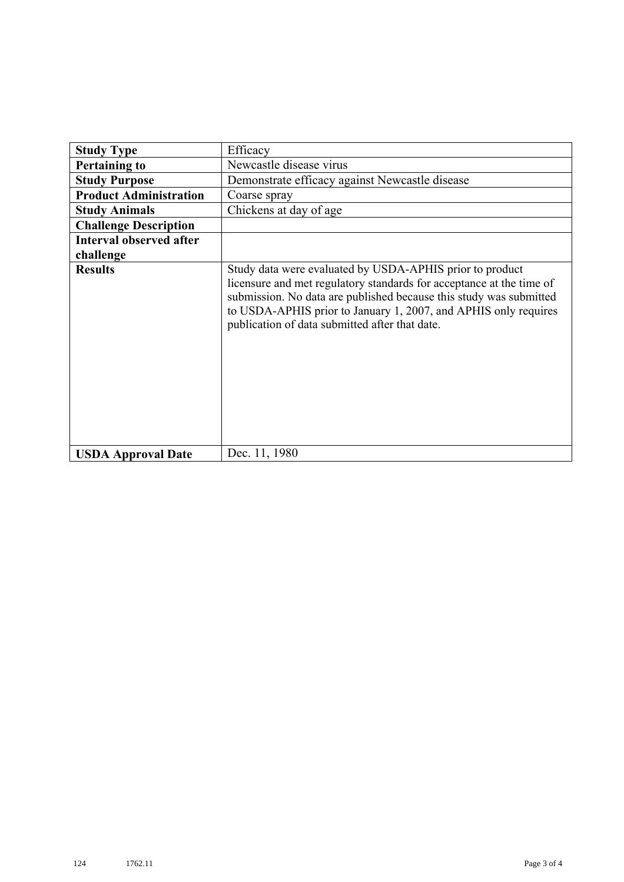| <b>Study Type</b>              | Efficacy                                                                                                                                                                                                                                                                                                                    |
|--------------------------------|-----------------------------------------------------------------------------------------------------------------------------------------------------------------------------------------------------------------------------------------------------------------------------------------------------------------------------|
| <b>Pertaining to</b>           | Newcastle disease virus                                                                                                                                                                                                                                                                                                     |
| <b>Study Purpose</b>           | Demonstrate efficacy against Newcastle disease                                                                                                                                                                                                                                                                              |
| <b>Product Administration</b>  | Coarse spray                                                                                                                                                                                                                                                                                                                |
| <b>Study Animals</b>           | Chickens at day of age                                                                                                                                                                                                                                                                                                      |
| <b>Challenge Description</b>   |                                                                                                                                                                                                                                                                                                                             |
| <b>Interval observed after</b> |                                                                                                                                                                                                                                                                                                                             |
| challenge                      |                                                                                                                                                                                                                                                                                                                             |
| <b>Results</b>                 | Study data were evaluated by USDA-APHIS prior to product<br>licensure and met regulatory standards for acceptance at the time of<br>submission. No data are published because this study was submitted<br>to USDA-APHIS prior to January 1, 2007, and APHIS only requires<br>publication of data submitted after that date. |
| <b>USDA Approval Date</b>      | Dec. 11, 1980                                                                                                                                                                                                                                                                                                               |